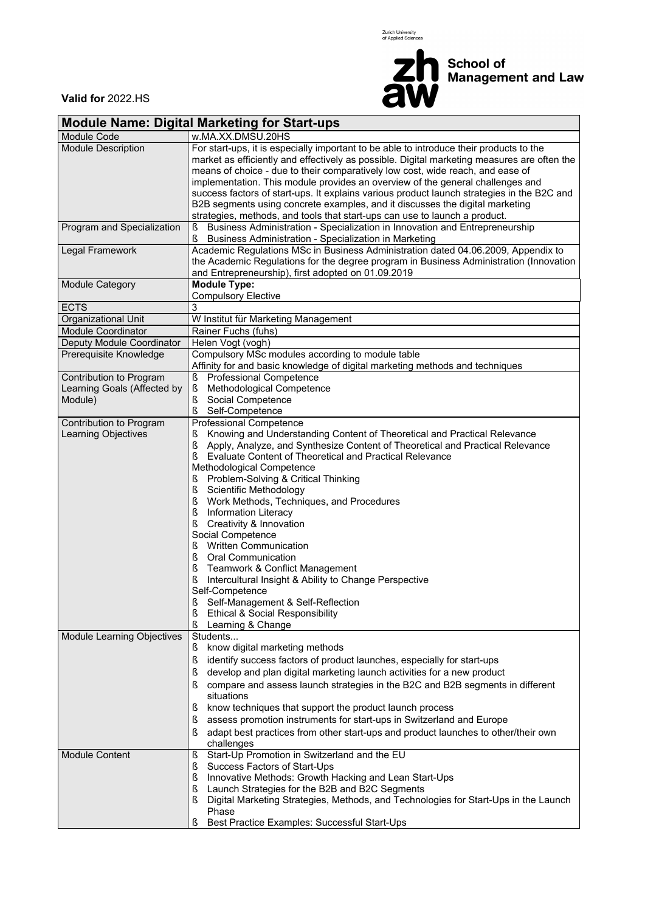Zurich University<br>of Applied Sciences



**Valid for** 2022.HS

| <b>Module Name: Digital Marketing for Start-ups</b>               |                                                                                                                                                                                                                                                                                                                                                                                                                                                                                                                                                                                                                                                                                                                                                                                                                                   |  |  |  |  |  |  |  |
|-------------------------------------------------------------------|-----------------------------------------------------------------------------------------------------------------------------------------------------------------------------------------------------------------------------------------------------------------------------------------------------------------------------------------------------------------------------------------------------------------------------------------------------------------------------------------------------------------------------------------------------------------------------------------------------------------------------------------------------------------------------------------------------------------------------------------------------------------------------------------------------------------------------------|--|--|--|--|--|--|--|
| Module Code                                                       | w.MA.XX.DMSU.20HS                                                                                                                                                                                                                                                                                                                                                                                                                                                                                                                                                                                                                                                                                                                                                                                                                 |  |  |  |  |  |  |  |
| <b>Module Description</b>                                         | For start-ups, it is especially important to be able to introduce their products to the<br>market as efficiently and effectively as possible. Digital marketing measures are often the<br>means of choice - due to their comparatively low cost, wide reach, and ease of<br>implementation. This module provides an overview of the general challenges and<br>success factors of start-ups. It explains various product launch strategies in the B2C and<br>B2B segments using concrete examples, and it discusses the digital marketing<br>strategies, methods, and tools that start-ups can use to launch a product.                                                                                                                                                                                                            |  |  |  |  |  |  |  |
| Program and Specialization                                        | Business Administration - Specialization in Innovation and Entrepreneurship<br>Business Administration - Specialization in Marketing                                                                                                                                                                                                                                                                                                                                                                                                                                                                                                                                                                                                                                                                                              |  |  |  |  |  |  |  |
| Legal Framework                                                   | Academic Regulations MSc in Business Administration dated 04.06.2009, Appendix to<br>the Academic Regulations for the degree program in Business Administration (Innovation<br>and Entrepreneurship), first adopted on 01.09.2019                                                                                                                                                                                                                                                                                                                                                                                                                                                                                                                                                                                                 |  |  |  |  |  |  |  |
| <b>Module Category</b>                                            | <b>Module Type:</b><br><b>Compulsory Elective</b>                                                                                                                                                                                                                                                                                                                                                                                                                                                                                                                                                                                                                                                                                                                                                                                 |  |  |  |  |  |  |  |
| <b>ECTS</b>                                                       | 3                                                                                                                                                                                                                                                                                                                                                                                                                                                                                                                                                                                                                                                                                                                                                                                                                                 |  |  |  |  |  |  |  |
| Organizational Unit                                               | W Institut für Marketing Management                                                                                                                                                                                                                                                                                                                                                                                                                                                                                                                                                                                                                                                                                                                                                                                               |  |  |  |  |  |  |  |
| <b>Module Coordinator</b>                                         | Rainer Fuchs (fuhs)                                                                                                                                                                                                                                                                                                                                                                                                                                                                                                                                                                                                                                                                                                                                                                                                               |  |  |  |  |  |  |  |
| Deputy Module Coordinator                                         | Helen Vogt (vogh)                                                                                                                                                                                                                                                                                                                                                                                                                                                                                                                                                                                                                                                                                                                                                                                                                 |  |  |  |  |  |  |  |
| Prerequisite Knowledge                                            | Compulsory MSc modules according to module table<br>Affinity for and basic knowledge of digital marketing methods and techniques                                                                                                                                                                                                                                                                                                                                                                                                                                                                                                                                                                                                                                                                                                  |  |  |  |  |  |  |  |
| Contribution to Program<br>Learning Goals (Affected by<br>Module) | Professional Competence<br>Ş<br>Methodological Competence<br>ş<br>Social Competence<br>ş<br>Self-Competence                                                                                                                                                                                                                                                                                                                                                                                                                                                                                                                                                                                                                                                                                                                       |  |  |  |  |  |  |  |
| Contribution to Program<br>Learning Objectives                    | <b>Professional Competence</b><br>Knowing and Understanding Content of Theoretical and Practical Relevance<br>ş<br>Apply, Analyze, and Synthesize Content of Theoretical and Practical Relevance<br>ş<br>Evaluate Content of Theoretical and Practical Relevance<br>ş<br>Methodological Competence<br>Problem-Solving & Critical Thinking<br>Ş<br>Scientific Methodology<br>ş<br>ş<br>Work Methods, Techniques, and Procedures<br>ş<br><b>Information Literacy</b><br>ş<br>Creativity & Innovation<br>Social Competence<br><b>Written Communication</b><br>Ş<br>ş<br>Oral Communication<br>ş<br>Teamwork & Conflict Management<br>Intercultural Insight & Ability to Change Perspective<br>Self-Competence<br>Self-Management & Self-Reflection<br>ş<br><b>Ethical &amp; Social Responsibility</b><br>ş<br>ş<br>Learning & Change |  |  |  |  |  |  |  |
| Module Learning Objectives                                        | Students<br>know digital marketing methods<br>Š<br>identify success factors of product launches, especially for start-ups<br>ş<br>develop and plan digital marketing launch activities for a new product<br>ş<br>compare and assess launch strategies in the B2C and B2B segments in different<br>S<br>situations<br>know techniques that support the product launch process<br>ş<br>assess promotion instruments for start-ups in Switzerland and Europe<br>ş<br>adapt best practices from other start-ups and product launches to other/their own<br>ş<br>challenges                                                                                                                                                                                                                                                            |  |  |  |  |  |  |  |
| <b>Module Content</b>                                             | Start-Up Promotion in Switzerland and the EU<br>ş<br>Success Factors of Start-Ups<br>ş<br>Innovative Methods: Growth Hacking and Lean Start-Ups<br>ş<br>Launch Strategies for the B2B and B2C Segments<br>ş<br>Digital Marketing Strategies, Methods, and Technologies for Start-Ups in the Launch<br>Phase<br>ş<br>Best Practice Examples: Successful Start-Ups                                                                                                                                                                                                                                                                                                                                                                                                                                                                  |  |  |  |  |  |  |  |